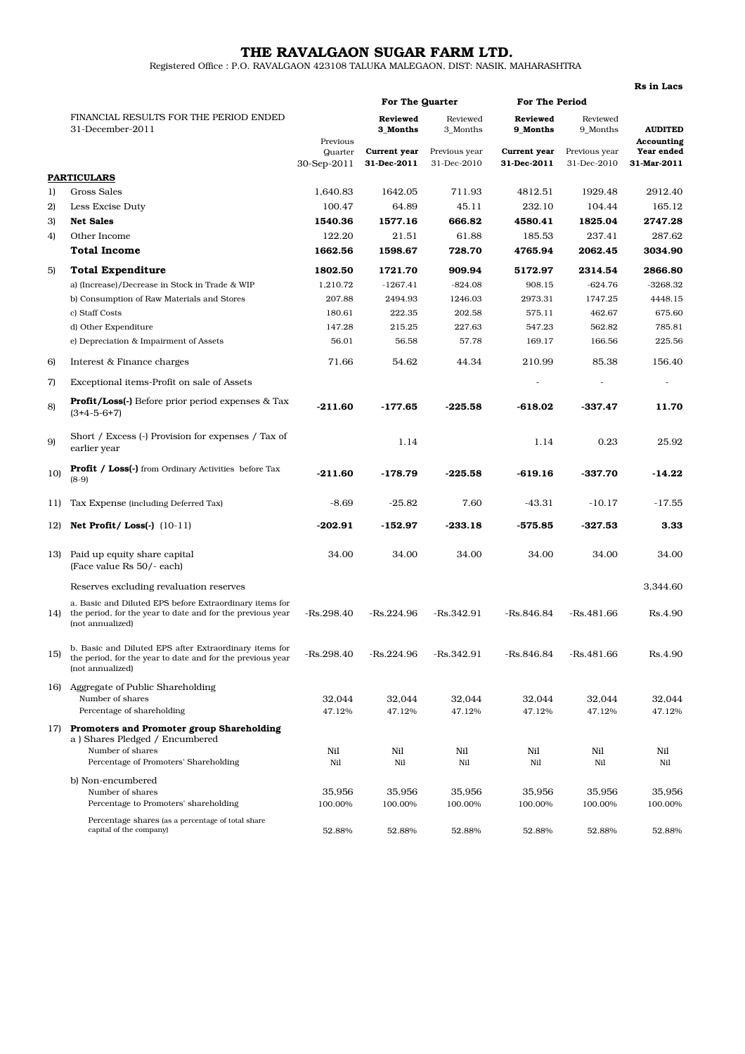## THE RAVALGAON SUGAR FARM LTD.

Registered Office : P.O. RAVALGAON 423108 TALUKA MALEGAON, DIST: NASIK, MAHARASHTRA

|     |                                                                                                                                           |                                    |                             |                              |                                    |                              | <b>Rs</b> in Lacs            |
|-----|-------------------------------------------------------------------------------------------------------------------------------------------|------------------------------------|-----------------------------|------------------------------|------------------------------------|------------------------------|------------------------------|
|     |                                                                                                                                           |                                    | For The Quarter             |                              | <b>For The Period</b>              |                              |                              |
|     | FINANCIAL RESULTS FOR THE PERIOD ENDED<br>31-December-2011                                                                                |                                    | <b>Reviewed</b><br>3 Months | Reviewed<br>3_Months         | <b>Reviewed</b><br><b>9 Months</b> | Reviewed<br>9_Months         | <b>AUDITED</b><br>Accounting |
|     |                                                                                                                                           | Previous<br>Quarter<br>30-Sep-2011 | Current year<br>31-Dec-2011 | Previous year<br>31-Dec-2010 | Current year<br>31-Dec-2011        | Previous year<br>31-Dec-2010 | Year ended<br>31-Mar-2011    |
|     | PARTICULARS                                                                                                                               |                                    |                             |                              |                                    |                              |                              |
| 1)  | Gross Sales                                                                                                                               | 1,640.83                           | 1642.05                     | 711.93                       | 4812.51                            | 1929.48                      | 2912.40                      |
| 2)  | Less Excise Duty                                                                                                                          | 100.47                             | 64.89                       | 45.11                        | 232.10                             | 104.44                       | 165.12                       |
| 3)  | <b>Net Sales</b>                                                                                                                          | 1540.36                            | 1577.16                     | 666.82                       | 4580.41                            | 1825.04                      | 2747.28                      |
| 4)  | Other Income                                                                                                                              | 122.20                             | 21.51                       | 61.88                        | 185.53                             | 237.41                       | 287.62                       |
|     | <b>Total Income</b>                                                                                                                       | 1662.56                            | 1598.67                     | 728.70                       | 4765.94                            | 2062.45                      | 3034.90                      |
| 5)  | <b>Total Expenditure</b>                                                                                                                  | 1802.50                            | 1721.70                     | 909.94                       | 5172.97                            | 2314.54                      | 2866.80                      |
|     | a) (Increase)/Decrease in Stock in Trade & WIP                                                                                            | 1,210.72                           | $-1267.41$                  | $-824.08$                    | 908.15                             | $-624.76$                    | $-3268.32$                   |
|     | b) Consumption of Raw Materials and Stores                                                                                                | 207.88                             | 2494.93                     | 1246.03                      | 2973.31                            | 1747.25                      | 4448.15                      |
|     | c) Staff Costs                                                                                                                            | 180.61                             | 222.35                      | 202.58                       | 575.11                             | 462.67                       | 675.60                       |
|     | d) Other Expenditure                                                                                                                      | 147.28                             | 215.25                      | 227.63                       | 547.23                             | 562.82                       | 785.81                       |
|     | e) Depreciation & Impairment of Assets                                                                                                    | 56.01                              | 56.58                       | 57.78                        | 169.17                             | 166.56                       | 225.56                       |
| 6)  | Interest & Finance charges                                                                                                                | 71.66                              | 54.62                       | 44.34                        | 210.99                             | 85.38                        | 156.40                       |
| 7)  | Exceptional items-Profit on sale of Assets                                                                                                |                                    |                             |                              |                                    |                              |                              |
| 8)  | <b>Profit/Loss(-)</b> Before prior period expenses & Tax<br>$(3+4-5-6+7)$                                                                 | $-211.60$                          | -177.65                     | $-225.58$                    | $-618.02$                          | $-337.47$                    | 11.70                        |
| 9)  | Short / Excess (-) Provision for expenses / Tax of<br>earlier year                                                                        |                                    | 1.14                        |                              | 1.14                               | 0.23                         | 25.92                        |
| 10) | <b>Profit / Loss(-)</b> from Ordinary Activities before Tax<br>$(8-9)$                                                                    | $-211.60$                          | $-178.79$                   | $-225.58$                    | $-619.16$                          | $-337.70$                    | -14.22                       |
| 11) | Tax Expense (including Deferred Tax)                                                                                                      | $-8.69$                            | $-25.82$                    | 7.60                         | $-43.31$                           | $-10.17$                     | $-17.55$                     |
| 12) | Net Profit/Loss $(-)$ $(10-11)$                                                                                                           | $-202.91$                          | $-152.97$                   | $-233.18$                    | $-575.85$                          | $-327.53$                    | 3.33                         |
| 13) | Paid up equity share capital<br>(Face value Rs 50/- each)                                                                                 | 34.00                              | 34.00                       | 34.00                        | 34.00                              | 34.00                        | 34.00                        |
|     | Reserves excluding revaluation reserves                                                                                                   |                                    |                             |                              |                                    |                              | 3,344.60                     |
| 14) | a. Basic and Diluted EPS before Extraordinary items for<br>the period, for the year to date and for the previous year<br>(not annualized) | $-Rs.298.40$                       | $-Rs.224.96$                | $-Rs.342.91$                 | $-Rs.846.84$                       | -Rs.481.66                   | Rs.4.90                      |
| 15) | b. Basic and Diluted EPS after Extraordinary items for<br>the period, for the year to date and for the previous year<br>(not annualized)  | $-Rs.298.40$                       | $-Rs.224.96$                | $-Rs.342.91$                 | $-Rs.846.84$                       | $-Rs.481.66$                 | Rs.4.90                      |
|     | 16) Aggregate of Public Shareholding                                                                                                      |                                    |                             |                              |                                    |                              |                              |
|     | Number of shares<br>Percentage of shareholding                                                                                            | 32,044                             | 32,044                      | 32,044                       | 32,044                             | 32,044                       | 32,044                       |
|     |                                                                                                                                           | 47.12%                             | 47.12%                      | 47.12%                       | 47.12%                             | 47.12%                       | 47.12%                       |
| 17) | Promoters and Promoter group Shareholding<br>a) Shares Pledged / Encumbered                                                               |                                    |                             |                              |                                    |                              |                              |
|     | Number of shares                                                                                                                          | Nil                                | Nil                         | Nil                          | Nil                                | Nil                          | Nil                          |
|     | Percentage of Promoters' Shareholding                                                                                                     | Nil                                | Nil                         | Nil                          | Nil                                | Nil                          | Nil                          |
|     | b) Non-encumbered                                                                                                                         |                                    |                             |                              |                                    |                              |                              |
|     | Number of shares<br>Percentage to Promoters' shareholding                                                                                 | 35,956<br>100.00%                  | 35,956<br>100.00%           | 35,956<br>100.00%            | 35,956<br>100.00%                  | 35,956<br>100.00%            | 35,956<br>100.00%            |
|     | Percentage shares (as a percentage of total share                                                                                         |                                    |                             |                              |                                    |                              |                              |
|     | capital of the company)                                                                                                                   | 52.88%                             | 52.88%                      | 52.88%                       | 52.88%                             | 52.88%                       | 52.88%                       |